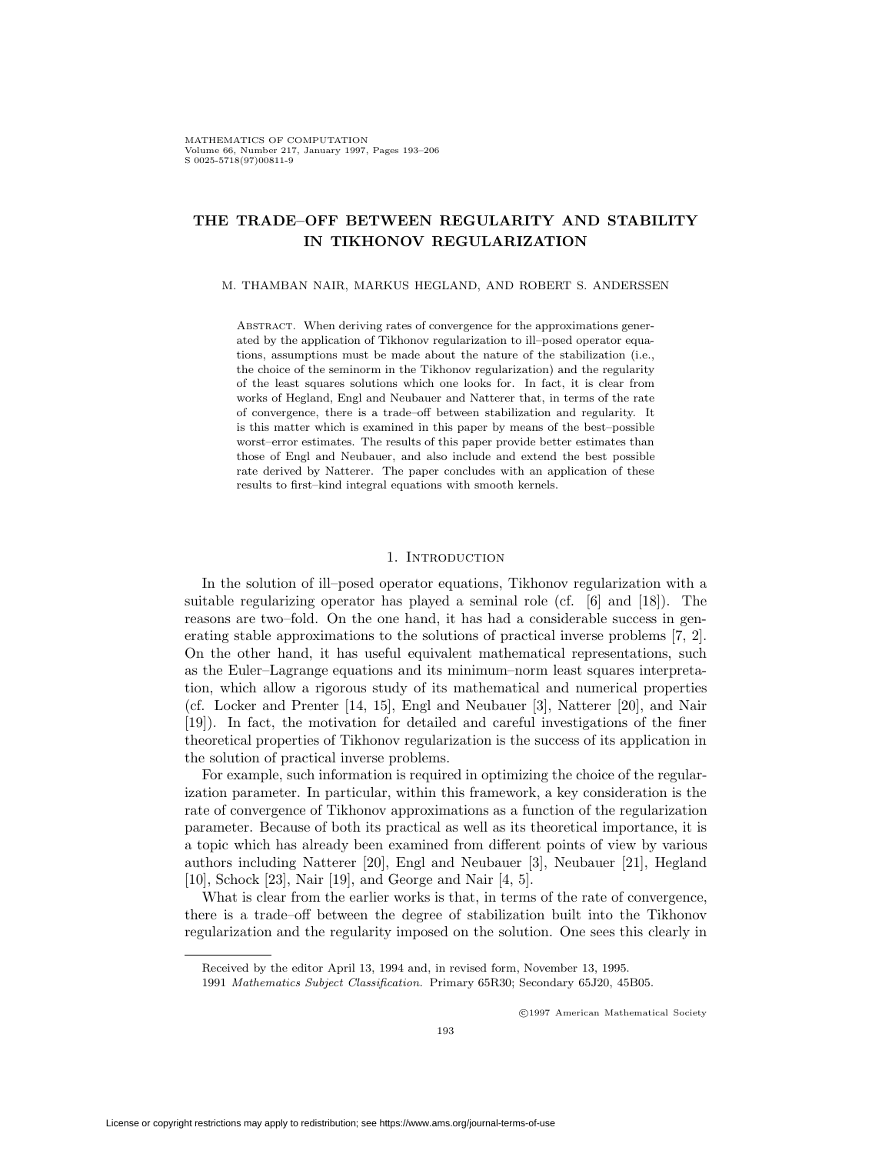# **THE TRADE–OFF BETWEEN REGULARITY AND STABILITY IN TIKHONOV REGULARIZATION**

#### M. THAMBAN NAIR, MARKUS HEGLAND, AND ROBERT S. ANDERSSEN

ABSTRACT. When deriving rates of convergence for the approximations generated by the application of Tikhonov regularization to ill–posed operator equations, assumptions must be made about the nature of the stabilization (i.e., the choice of the seminorm in the Tikhonov regularization) and the regularity of the least squares solutions which one looks for. In fact, it is clear from works of Hegland, Engl and Neubauer and Natterer that, in terms of the rate of convergence, there is a trade–off between stabilization and regularity. It is this matter which is examined in this paper by means of the best–possible worst–error estimates. The results of this paper provide better estimates than those of Engl and Neubauer, and also include and extend the best possible rate derived by Natterer. The paper concludes with an application of these results to first–kind integral equations with smooth kernels.

## 1. INTRODUCTION

In the solution of ill–posed operator equations, Tikhonov regularization with a suitable regularizing operator has played a seminal role (cf. [6] and [18]). The reasons are two–fold. On the one hand, it has had a considerable success in generating stable approximations to the solutions of practical inverse problems [7, 2]. On the other hand, it has useful equivalent mathematical representations, such as the Euler–Lagrange equations and its minimum–norm least squares interpretation, which allow a rigorous study of its mathematical and numerical properties (cf. Locker and Prenter [14, 15], Engl and Neubauer [3], Natterer [20], and Nair [19]). In fact, the motivation for detailed and careful investigations of the finer theoretical properties of Tikhonov regularization is the success of its application in the solution of practical inverse problems.

For example, such information is required in optimizing the choice of the regularization parameter. In particular, within this framework, a key consideration is the rate of convergence of Tikhonov approximations as a function of the regularization parameter. Because of both its practical as well as its theoretical importance, it is a topic which has already been examined from different points of view by various authors including Natterer [20], Engl and Neubauer [3], Neubauer [21], Hegland [10], Schock [23], Nair [19], and George and Nair [4, 5].

What is clear from the earlier works is that, in terms of the rate of convergence, there is a trade–off between the degree of stabilization built into the Tikhonov regularization and the regularity imposed on the solution. One sees this clearly in

c 1997 American Mathematical Society

Received by the editor April 13, 1994 and, in revised form, November 13, 1995.

<sup>1991</sup> Mathematics Subject Classification. Primary 65R30; Secondary 65J20, 45B05.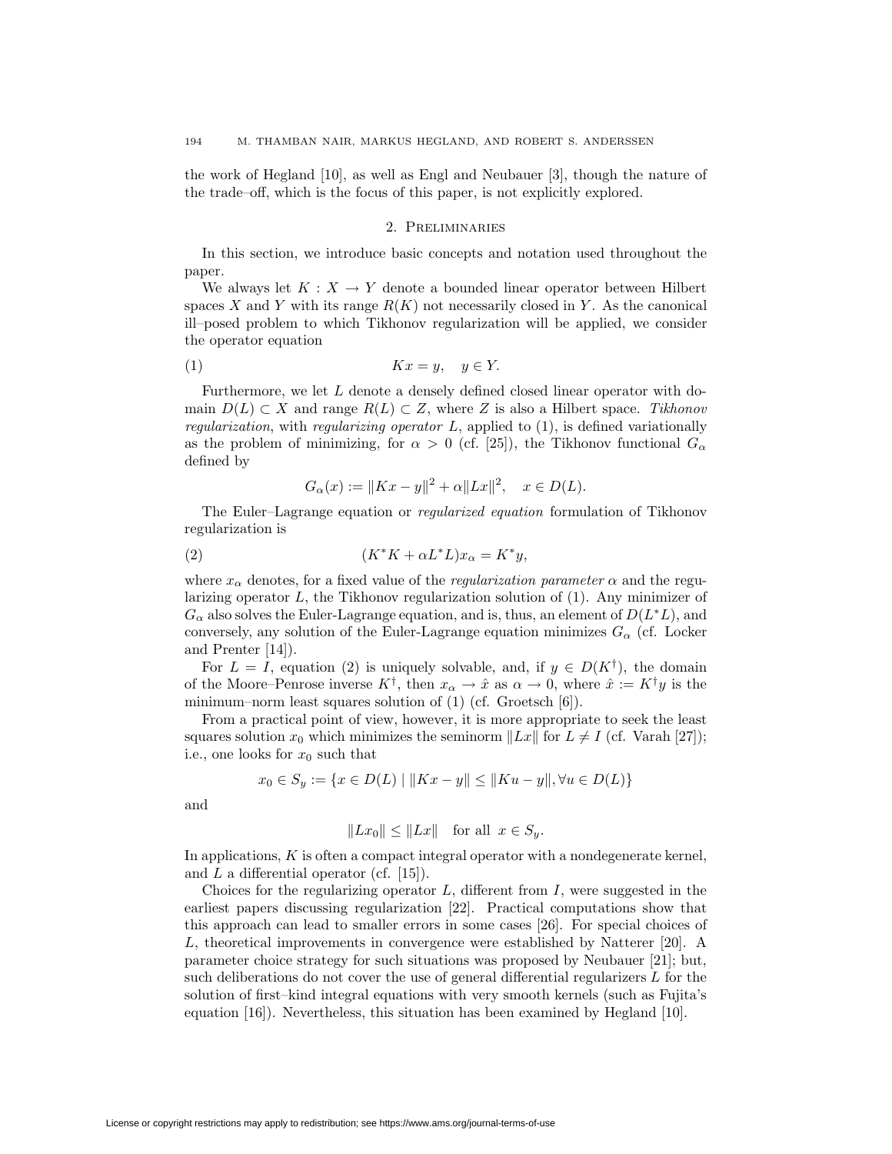the work of Hegland [10], as well as Engl and Neubauer [3], though the nature of the trade–off, which is the focus of this paper, is not explicitly explored.

# 2. Preliminaries

In this section, we introduce basic concepts and notation used throughout the paper.

We always let  $K: X \to Y$  denote a bounded linear operator between Hilbert spaces X and Y with its range  $R(K)$  not necessarily closed in Y. As the canonical ill–posed problem to which Tikhonov regularization will be applied, we consider the operator equation

$$
(1) \t\t Kx = y, \t y \in Y.
$$

Furthermore, we let  $L$  denote a densely defined closed linear operator with domain  $D(L) \subset X$  and range  $R(L) \subset Z$ , where Z is also a Hilbert space. Tikhonov regularization, with regularizing operator  $L$ , applied to  $(1)$ , is defined variationally as the problem of minimizing, for  $\alpha > 0$  (cf. [25]), the Tikhonov functional  $G_{\alpha}$ defined by

$$
G_{\alpha}(x) := \|Kx - y\|^2 + \alpha \|Lx\|^2, \quad x \in D(L).
$$

The Euler–Lagrange equation or regularized equation formulation of Tikhonov regularization is

$$
(2) \t\t\t\t(K^*K + \alpha L^*L)x_\alpha = K^*y,
$$

where  $x_{\alpha}$  denotes, for a fixed value of the *regularization parameter*  $\alpha$  and the regularizing operator  $L$ , the Tikhonov regularization solution of  $(1)$ . Any minimizer of  $G_{\alpha}$  also solves the Euler-Lagrange equation, and is, thus, an element of  $D(L^*L)$ , and conversely, any solution of the Euler-Lagrange equation minimizes  $G_{\alpha}$  (cf. Locker and Prenter [14]).

For  $L = I$ , equation (2) is uniquely solvable, and, if  $y \in D(K^{\dagger})$ , the domain of the Moore–Penrose inverse  $K^{\dagger}$ , then  $x_{\alpha} \to \hat{x}$  as  $\alpha \to 0$ , where  $\hat{x} := K^{\dagger}y$  is the minimum–norm least squares solution of (1) (cf. Groetsch [6]).

From a practical point of view, however, it is more appropriate to seek the least squares solution  $x_0$  which minimizes the seminorm  $||Lx||$  for  $L \neq I$  (cf. Varah [27]); i.e., one looks for  $x_0$  such that

$$
x_0 \in S_y := \{ x \in D(L) \mid ||Kx - y|| \le ||Ku - y||, \forall u \in D(L) \}
$$

and

$$
||Lx_0|| \le ||Lx|| \quad \text{for all} \ \ x \in S_y.
$$

In applications,  $K$  is often a compact integral operator with a nondegenerate kernel, and  $L$  a differential operator (cf. [15]).

Choices for the regularizing operator  $L$ , different from  $I$ , were suggested in the earliest papers discussing regularization [22]. Practical computations show that this approach can lead to smaller errors in some cases [26]. For special choices of L, theoretical improvements in convergence were established by Natterer [20]. A parameter choice strategy for such situations was proposed by Neubauer [21]; but, such deliberations do not cover the use of general differential regularizers  $L$  for the solution of first–kind integral equations with very smooth kernels (such as Fujita's equation [16]). Nevertheless, this situation has been examined by Hegland [10].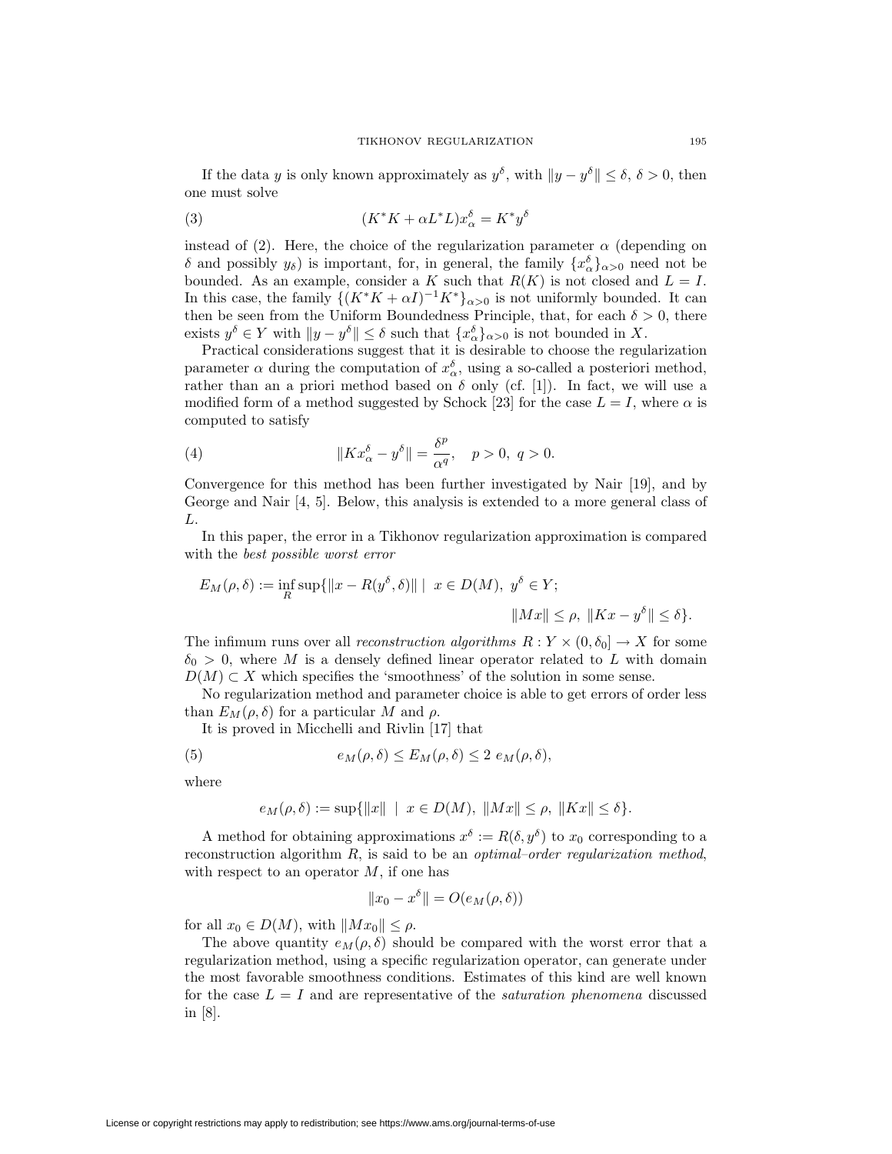If the data y is only known approximately as  $y^{\delta}$ , with  $||y - y^{\delta}|| \leq \delta$ ,  $\delta > 0$ , then one must solve

(3) 
$$
(K^*K + \alpha L^*L)x_{\alpha}^{\delta} = K^*y^{\delta}
$$

instead of (2). Here, the choice of the regularization parameter  $\alpha$  (depending on δ and possibly  $y<sub>δ</sub>$ ) is important, for, in general, the family  $\{x<sup>δ</sup><sub>α</sub>\}<sub>α>0</sub>$  need not be bounded. As an example, consider a K such that  $R(K)$  is not closed and  $L = I$ . In this case, the family  $\{(K^*K + \alpha I)^{-1}K^*\}_{\alpha > 0}$  is not uniformly bounded. It can then be seen from the Uniform Boundedness Principle, that, for each  $\delta > 0$ , there exists  $y^{\delta} \in Y$  with  $||y - y^{\delta}|| \leq \delta$  such that  $\{x_{\alpha}^{\delta}\}_{{\alpha} > 0}$  is not bounded in X.

Practical considerations suggest that it is desirable to choose the regularization parameter  $\alpha$  during the computation of  $x_{\alpha}^{\delta}$ , using a so-called a posteriori method, rather than an a priori method based on  $\delta$  only (cf. [1]). In fact, we will use a modified form of a method suggested by Schock [23] for the case  $L = I$ , where  $\alpha$  is computed to satisfy

(4) 
$$
||Kx_{\alpha}^{\delta} - y^{\delta}|| = \frac{\delta^{p}}{\alpha^{q}}, \quad p > 0, q > 0.
$$

Convergence for this method has been further investigated by Nair [19], and by George and Nair [4, 5]. Below, this analysis is extended to a more general class of L.

In this paper, the error in a Tikhonov regularization approximation is compared with the best possible worst error

$$
E_M(\rho, \delta) := \inf_R \sup \{ ||x - R(y^{\delta}, \delta)|| \mid x \in D(M), y^{\delta} \in Y; \qquad ||Mx|| \le \rho, ||Kx - y^{\delta}|| \le \delta \}.
$$

The infimum runs over all *reconstruction algorithms*  $R: Y \times (0, \delta_0] \to X$  for some  $\delta_0 > 0$ , where M is a densely defined linear operator related to L with domain  $D(M) \subset X$  which specifies the 'smoothness' of the solution in some sense.

No regularization method and parameter choice is able to get errors of order less than  $E_M(\rho, \delta)$  for a particular M and  $\rho$ .

It is proved in Micchelli and Rivlin [17] that

(5) 
$$
e_M(\rho,\delta) \le E_M(\rho,\delta) \le 2 e_M(\rho,\delta),
$$

where

$$
e_M(\rho,\delta) := \sup\{\|x\| \mid x \in D(M), \|Mx\| \le \rho, \|Kx\| \le \delta\}.
$$

A method for obtaining approximations  $x^{\delta} := R(\delta, y^{\delta})$  to  $x_0$  corresponding to a reconstruction algorithm  $R$ , is said to be an *optimal–order regularization method*, with respect to an operator  $M$ , if one has

$$
||x_0 - x^{\delta}|| = O(e_M(\rho, \delta))
$$

for all  $x_0 \in D(M)$ , with  $||Mx_0|| \leq \rho$ .

The above quantity  $e_M(\rho, \delta)$  should be compared with the worst error that a regularization method, using a specific regularization operator, can generate under the most favorable smoothness conditions. Estimates of this kind are well known for the case  $L = I$  and are representative of the *saturation phenomena* discussed in [8].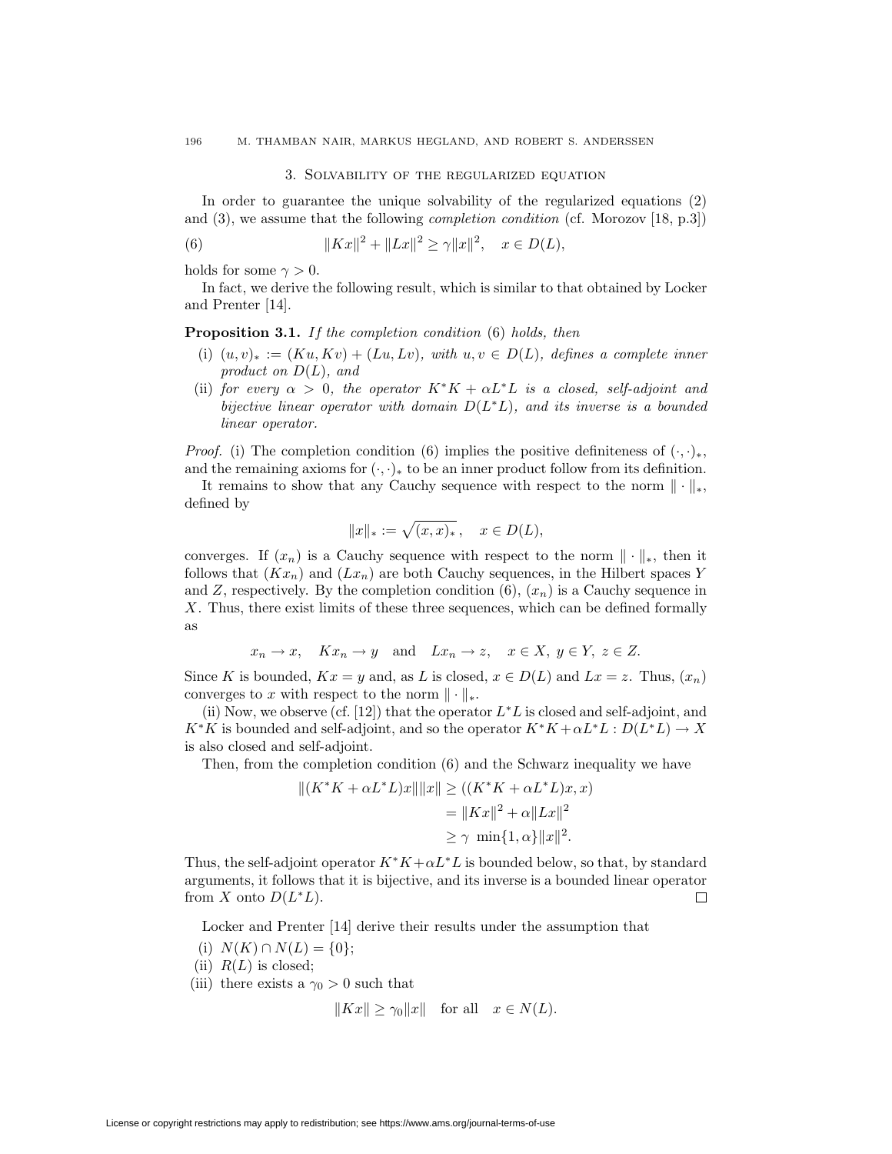## 3. Solvability of the regularized equation

In order to guarantee the unique solvability of the regularized equations (2) and (3), we assume that the following completion condition (cf. Morozov [18, p.3])

(6) 
$$
||Kx||^2 + ||Lx||^2 \ge \gamma ||x||^2, \quad x \in D(L),
$$

holds for some  $\gamma > 0$ .

In fact, we derive the following result, which is similar to that obtained by Locker and Prenter [14].

**Proposition 3.1.** If the completion condition (6) holds, then

- (i)  $(u, v)_* := (Ku, Kv) + (Lu, Lv)$ , with  $u, v \in D(L)$ , defines a complete inner product on  $D(L)$ , and
- (ii) for every  $\alpha > 0$ , the operator  $K^*K + \alpha L^*L$  is a closed, self-adjoint and bijective linear operator with domain  $D(L^*L)$ , and its inverse is a bounded linear operator.

*Proof.* (i) The completion condition (6) implies the positive definiteness of  $(\cdot, \cdot)_*,$ and the remaining axioms for  $(\cdot, \cdot)_*$  to be an inner product follow from its definition.

It remains to show that any Cauchy sequence with respect to the norm  $\|\cdot\|_*$ , defined by

$$
||x||_* := \sqrt{(x,x)_*}, \quad x \in D(L),
$$

converges. If  $(x_n)$  is a Cauchy sequence with respect to the norm  $\|\cdot\|_*$ , then it follows that  $(Kx_n)$  and  $(Lx_n)$  are both Cauchy sequences, in the Hilbert spaces Y and Z, respectively. By the completion condition  $(6)$ ,  $(x_n)$  is a Cauchy sequence in X. Thus, there exist limits of these three sequences, which can be defined formally as

$$
x_n \to x
$$
,  $Kx_n \to y$  and  $Lx_n \to z$ ,  $x \in X$ ,  $y \in Y$ ,  $z \in Z$ .

Since K is bounded,  $Kx = y$  and, as L is closed,  $x \in D(L)$  and  $Lx = z$ . Thus,  $(x_n)$ converges to x with respect to the norm  $\|\cdot\|_*$ .

(ii) Now, we observe (cf. [12]) that the operator  $L^*L$  is closed and self-adjoint, and  $K*K$  is bounded and self-adjoint, and so the operator  $K*K + \alpha L*L : D(L*L) \rightarrow X$ is also closed and self-adjoint.

Then, from the completion condition (6) and the Schwarz inequality we have

$$
||(K^*K + \alpha L^*L)x||||x|| \ge ((K^*K + \alpha L^*L)x, x)
$$
  
=  $||Kx||^2 + \alpha ||Lx||^2$   
 $\ge \gamma \min\{1, \alpha\} ||x||^2.$ 

Thus, the self-adjoint operator  $K*K+\alpha L*L$  is bounded below, so that, by standard arguments, it follows that it is bijective, and its inverse is a bounded linear operator  $\Box$ from X onto  $D(L^*L)$ .

Locker and Prenter [14] derive their results under the assumption that

- (i)  $N(K) \cap N(L) = \{0\};$
- (ii)  $R(L)$  is closed;
- (iii) there exists a  $\gamma_0 > 0$  such that

$$
||Kx|| \ge \gamma_0 ||x|| \quad \text{for all} \quad x \in N(L).
$$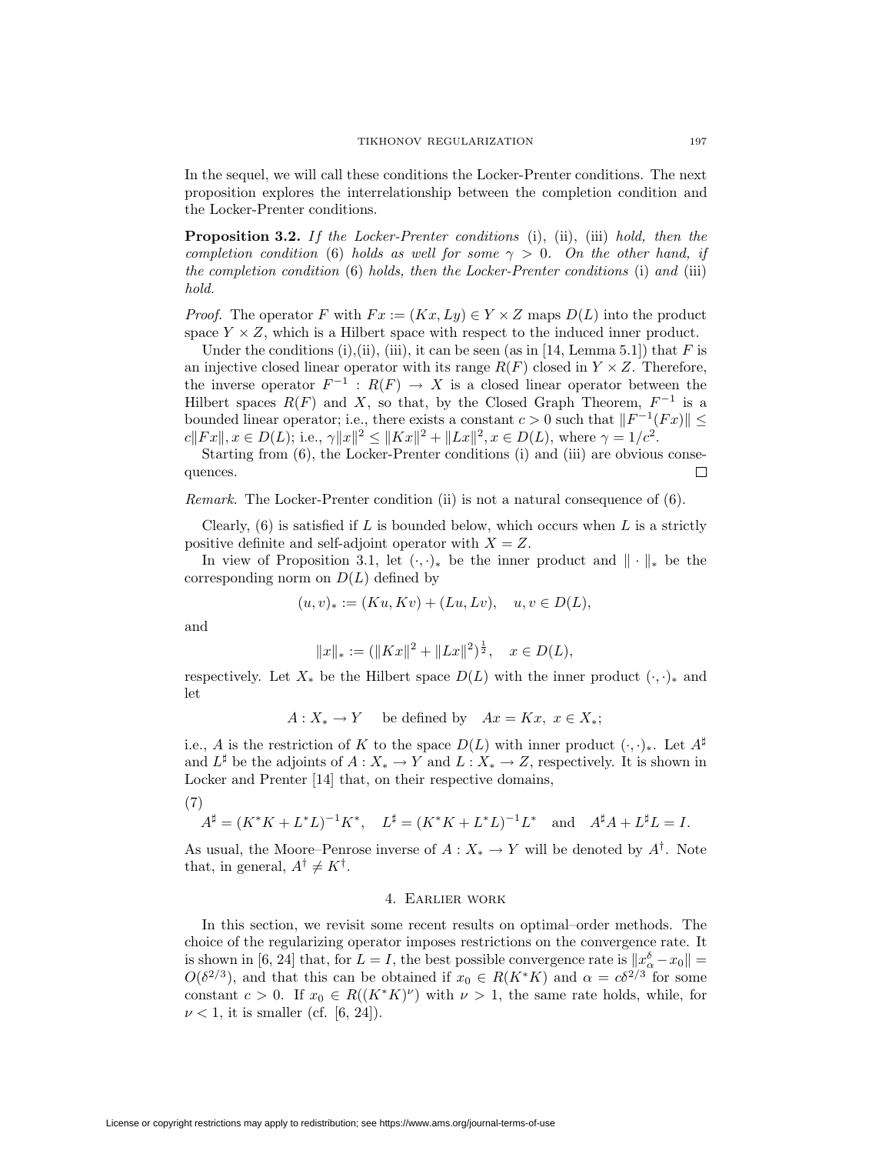In the sequel, we will call these conditions the Locker-Prenter conditions. The next proposition explores the interrelationship between the completion condition and the Locker-Prenter conditions.

**Proposition 3.2.** If the Locker-Prenter conditions (i), (ii), (iii) hold, then the completion condition (6) holds as well for some  $\gamma > 0$ . On the other hand, if the completion condition (6) holds, then the Locker-Prenter conditions (i) and (iii) hold.

*Proof.* The operator F with  $Fx := (Kx, Ly) \in Y \times Z$  maps  $D(L)$  into the product space  $Y \times Z$ , which is a Hilbert space with respect to the induced inner product.

Under the conditions (i),(ii), (iii), it can be seen (as in [14, Lemma 5.1]) that  $F$  is an injective closed linear operator with its range  $R(F)$  closed in  $Y \times Z$ . Therefore, the inverse operator  $F^{-1}$  :  $R(F) \rightarrow X$  is a closed linear operator between the Hilbert spaces  $R(F)$  and X, so that, by the Closed Graph Theorem,  $F^{-1}$  is a bounded linear operator; i.e., there exists a constant  $c > 0$  such that  $||F^{-1}(Fx)|| \leq$  $c||Fx||, x \in D(L);$  i.e.,  $\gamma ||x||^2 \leq ||Kx||^2 + ||Lx||^2, x \in D(L)$ , where  $\gamma = 1/c^2$ .

Starting from (6), the Locker-Prenter conditions (i) and (iii) are obvious consequences. 口

Remark. The Locker-Prenter condition (ii) is not a natural consequence of (6).

Clearly,  $(6)$  is satisfied if L is bounded below, which occurs when L is a strictly positive definite and self-adjoint operator with  $X = Z$ .

In view of Proposition 3.1, let  $(\cdot, \cdot)_*$  be the inner product and  $\|\cdot\|_*$  be the corresponding norm on  $D(L)$  defined by

$$
(u, v)_* := (Ku, Kv) + (Lu, Lv), \quad u, v \in D(L),
$$

and

$$
||x||_* := (||Kx||^2 + ||Lx||^2)^{\frac{1}{2}}, \quad x \in D(L),
$$

respectively. Let  $X_*$  be the Hilbert space  $D(L)$  with the inner product  $(\cdot, \cdot)_*$  and let

$$
A: X_* \to Y \quad \text{be defined by} \quad Ax = Kx, \ x \in X_*;
$$

i.e., A is the restriction of K to the space  $D(L)$  with inner product  $(\cdot, \cdot)_*$ . Let  $A^{\sharp}$ and  $L^{\sharp}$  be the adjoints of  $A: X_* \to Y$  and  $L: X_* \to Z$ , respectively. It is shown in Locker and Prenter [14] that, on their respective domains,

(7)

$$
A^{\sharp} = (K^*K + L^*L)^{-1}K^*, \quad L^{\sharp} = (K^*K + L^*L)^{-1}L^* \quad \text{and} \quad A^{\sharp}A + L^{\sharp}L = I.
$$

As usual, the Moore–Penrose inverse of  $A: X_* \to Y$  will be denoted by  $A^{\dagger}$ . Note that, in general,  $A^{\dagger} \neq K^{\dagger}$ .

## 4. Earlier work

In this section, we revisit some recent results on optimal–order methods. The choice of the regularizing operator imposes restrictions on the convergence rate. It is shown in [6, 24] that, for  $L = I$ , the best possible convergence rate is  $||x_{\alpha}^{\delta} - x_0|| =$  $O(\delta^{2/3})$ , and that this can be obtained if  $x_0 \in R(K^*K)$  and  $\alpha = c\delta^{2/3}$  for some constant  $c > 0$ . If  $x_0 \in R((K^*K)^{\nu})$  with  $\nu > 1$ , the same rate holds, while, for  $\nu < 1$ , it is smaller (cf. [6, 24]).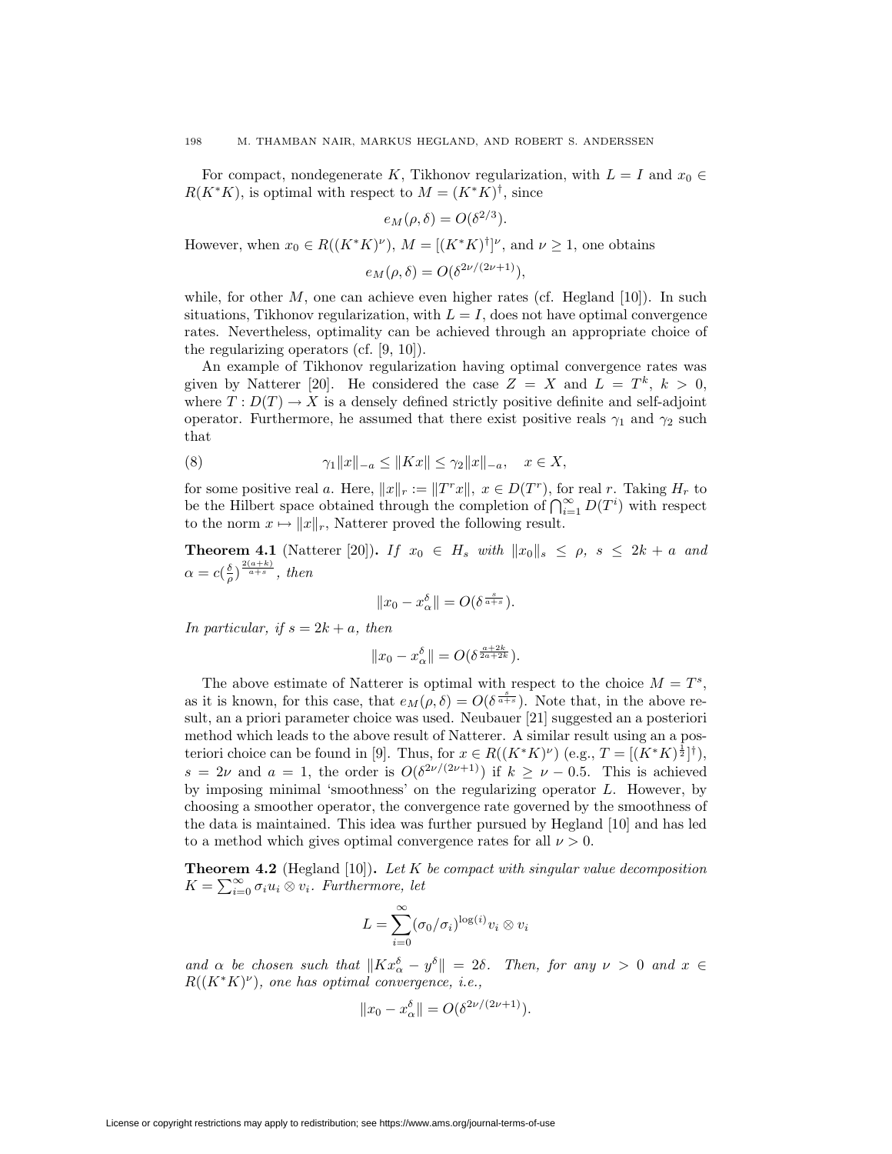For compact, nondegenerate K, Tikhonov regularization, with  $L = I$  and  $x_0 \in$  $R(K^*K)$ , is optimal with respect to  $M = (K^*K)^{\dagger}$ , since

$$
e_M(\rho,\delta) = O(\delta^{2/3}).
$$

However, when  $x_0 \in R((K^*K)^{\nu}), M = [(K^*K)^{\dagger}]^{\nu}$ , and  $\nu \geq 1$ , one obtains

$$
e_M(\rho,\delta) = O(\delta^{2\nu/(2\nu+1)}),
$$

while, for other  $M$ , one can achieve even higher rates (cf. Hegland [10]). In such situations, Tikhonov regularization, with  $L = I$ , does not have optimal convergence rates. Nevertheless, optimality can be achieved through an appropriate choice of the regularizing operators (cf. [9, 10]).

An example of Tikhonov regularization having optimal convergence rates was given by Natterer [20]. He considered the case  $Z = X$  and  $L = T^k$ ,  $k > 0$ , where  $T: D(T) \to X$  is a densely defined strictly positive definite and self-adjoint operator. Furthermore, he assumed that there exist positive reals  $\gamma_1$  and  $\gamma_2$  such that

(8) 
$$
\gamma_1 \|x\|_{-a} \le \|Kx\| \le \gamma_2 \|x\|_{-a}, \quad x \in X,
$$

for some positive real a. Here,  $||x||_r := ||T^r x||$ ,  $x \in D(T^r)$ , for real r. Taking  $H_r$  to be the Hilbert space obtained through the completion of  $\bigcap_{i=1}^{\infty} D(T^i)$  with respect to the norm  $x \mapsto ||x||_r$ , Natterer proved the following result.

**Theorem 4.1** (Natterer [20]). If  $x_0 \in H_s$  with  $||x_0||_s \le \rho$ ,  $s \le 2k + a$  and  $\alpha = c(\frac{\delta}{\rho})^{\frac{2(a+k)}{a+s}}, \textit{then}$ 

$$
||x_0 - x_\alpha^\delta|| = O(\delta^{\frac{s}{a+s}}).
$$

In particular, if  $s = 2k + a$ , then

$$
||x_0 - x_\alpha^{\delta}|| = O(\delta^{\frac{a+2k}{2a+2k}}).
$$

The above estimate of Natterer is optimal with respect to the choice  $M = T<sup>s</sup>$ , as it is known, for this case, that  $e_M(\rho, \delta) = O(\delta^{\frac{s}{a+s}})$ . Note that, in the above result, an a priori parameter choice was used. Neubauer [21] suggested an a posteriori method which leads to the above result of Natterer. A similar result using an a posteriori choice can be found in [9]. Thus, for  $x \in R((K^*K)^{\nu})$  (e.g.,  $T = [(K^*K)^{\frac{1}{2}}]^{\dagger}$ ), s = 2ν and a = 1, the order is  $O(\delta^{2\nu/(2\nu+1)})$  if  $k \ge \nu - 0.5$ . This is achieved by imposing minimal 'smoothness' on the regularizing operator L. However, by choosing a smoother operator, the convergence rate governed by the smoothness of the data is maintained. This idea was further pursued by Hegland [10] and has led to a method which gives optimal convergence rates for all  $\nu > 0$ .

**Theorem 4.2** (Hegland [10]). Let K be compact with singular value decomposition  $K = \sum_{i=0}^{\infty} \sigma_i u_i \otimes v_i$ . Furthermore, let

$$
L = \sum_{i=0}^{\infty} (\sigma_0/\sigma_i)^{\log(i)} v_i \otimes v_i
$$

and  $\alpha$  be chosen such that  $||Kx_{\alpha}^{\delta} - y^{\delta}|| = 2\delta$ . Then, for any  $\nu > 0$  and  $x \in$  $R((K^*K)^{\nu})$ , one has optimal convergence, i.e.,

$$
||x_0 - x_{\alpha}^{\delta}|| = O(\delta^{2\nu/(2\nu+1)}).
$$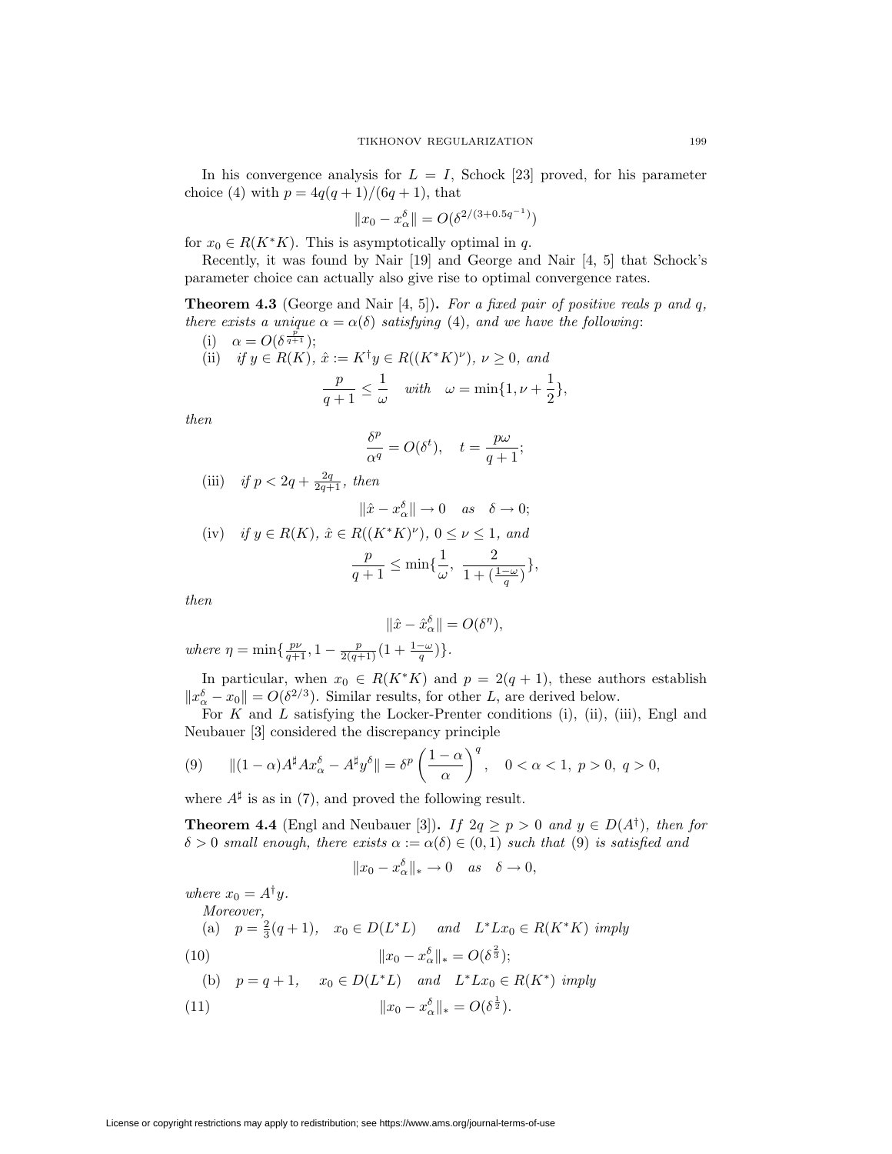In his convergence analysis for  $L = I$ , Schock [23] proved, for his parameter choice (4) with  $p = 4q(q + 1)/(6q + 1)$ , that

$$
||x_0 - x_\alpha^{\delta}|| = O(\delta^{2/(3+0.5q^{-1})})
$$

for  $x_0 \in R(K^*K)$ . This is asymptotically optimal in q.

Recently, it was found by Nair [19] and George and Nair [4, 5] that Schock's parameter choice can actually also give rise to optimal convergence rates.

**Theorem 4.3** (George and Nair  $[4, 5]$ ). For a fixed pair of positive reals p and q, there exists a unique  $\alpha = \alpha(\delta)$  satisfying (4), and we have the following:

- (i)  $\alpha = O(\delta^{\frac{\bar{p}}{q+1}});$
- (ii) if  $y \in R(K)$ ,  $\hat{x} := K^{\dagger}y \in R((K^*K)^{\nu})$ ,  $\nu \geq 0$ , and  $\frac{p}{q+1} \leq \frac{1}{\omega}$  $rac{1}{\omega}$  with  $\omega = \min\{1, \nu + \frac{1}{2}\}$  $\frac{1}{2}$ ,

then

$$
\frac{\delta^p}{\alpha^q} = O(\delta^t), \quad t = \frac{p\omega}{q+1};
$$

(iii) if 
$$
p < 2q + \frac{2q}{2q+1}
$$
, then  

$$
\|\hat{x} - x_{\alpha}^{\delta}\| \to 0 \quad as \quad \delta \to 0;
$$

(iv) if 
$$
y \in R(K)
$$
,  $\hat{x} \in R((K^*K)^{\nu})$ ,  $0 \le \nu \le 1$ , and  

$$
\frac{p}{q+1} \le \min\{\frac{1}{\omega}, \frac{2}{1+(\frac{1-\omega}{q})}\},
$$

then

$$
\|\hat{x} - \hat{x}_{\alpha}^{\delta}\| = O(\delta^{\eta}),
$$

where  $\eta = \min\{\frac{p\nu}{q+1}, 1 - \frac{p}{2(q+1)}(1 + \frac{1-\omega}{q})\}.$ 

In particular, when  $x_0 \in R(K^*K)$  and  $p = 2(q + 1)$ , these authors establish  $||x_{\alpha}^{\delta} - x_0|| = O(\delta^{2/3})$ . Similar results, for other L, are derived below.

For  $K$  and  $L$  satisfying the Locker-Prenter conditions (i), (ii), (iii), Engl and Neubauer [3] considered the discrepancy principle

(9) 
$$
\|(1-\alpha)A^{\sharp}Ax_{\alpha}^{\delta}-A^{\sharp}y^{\delta}\|=\delta^{p}\left(\frac{1-\alpha}{\alpha}\right)^{q}, \quad 0<\alpha<1, \ p>0, \ q>0,
$$

where  $A^{\sharp}$  is as in (7), and proved the following result.

**Theorem 4.4** (Engl and Neubauer [3]). If  $2q \geq p > 0$  and  $y \in D(A^{\dagger})$ , then for  $\delta > 0$  small enough, there exists  $\alpha := \alpha(\delta) \in (0,1)$  such that (9) is satisfied and

$$
||x_0 - x_\alpha^{\delta}||_* \to 0 \quad as \quad \delta \to 0,
$$

where  $x_0 = A^{\dagger} y$ .

Moreover, (a)  $p = \frac{2}{3}(q+1)$ ,  $x_0 \in D(L^*L)$  and  $L^*Lx_0 \in R(K^*K)$  imply (10)  $||x_0 - x_\alpha^{\delta}||_* = O(\delta^{\frac{3}{3}});$ 

(b) 
$$
p = q + 1
$$
,  $x_0 \in D(L^*L)$  and  $L^*Lx_0 \in R(K^*)$  imply  
\n(11)  $||x_0 - x_\alpha^{\delta}||_* = O(\delta^{\frac{1}{2}})$ .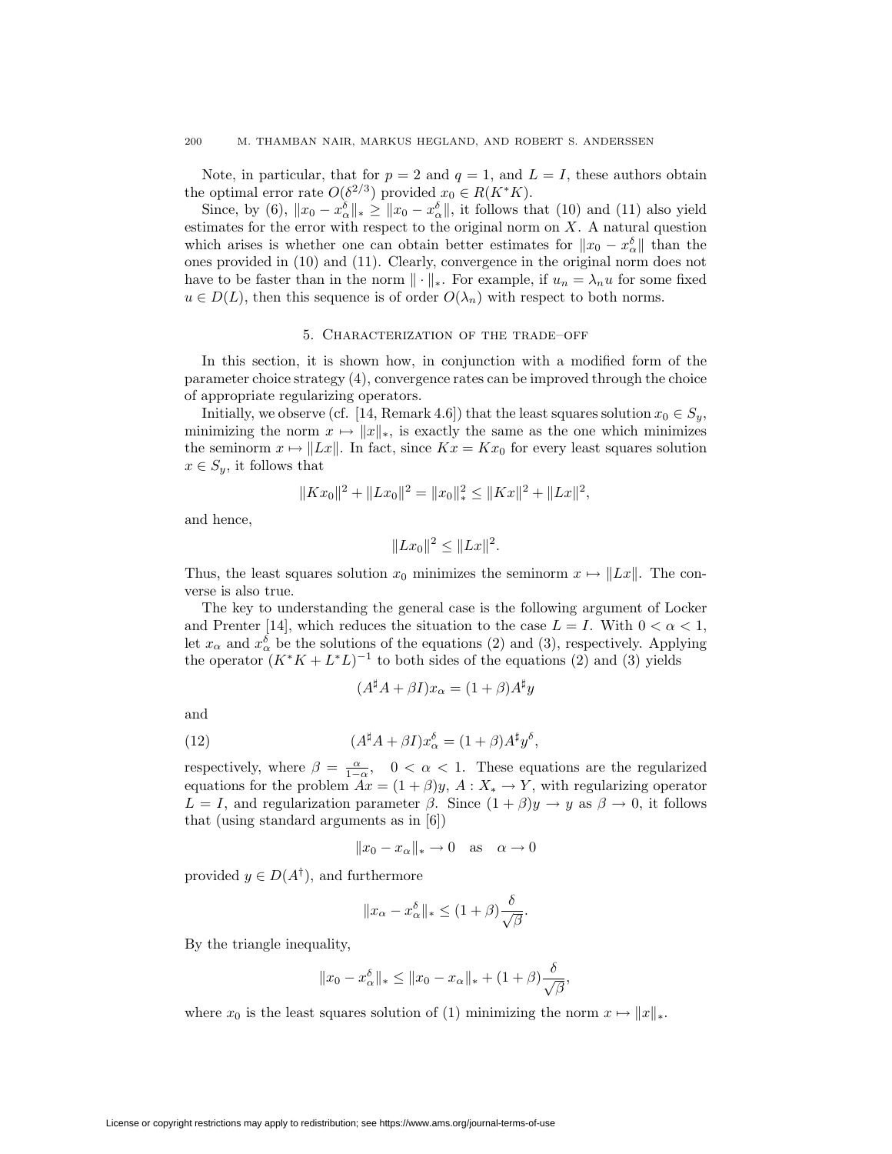Note, in particular, that for  $p = 2$  and  $q = 1$ , and  $L = I$ , these authors obtain the optimal error rate  $O(\delta^{2/3})$  provided  $x_0 \in R(K^*K)$ .

Since, by (6),  $||x_0 - x_\alpha^{\delta}||_* \ge ||x_0 - x_\alpha^{\delta}||$ , it follows that (10) and (11) also yield estimates for the error with respect to the original norm on  $X$ . A natural question which arises is whether one can obtain better estimates for  $||x_0 - x_{\alpha}^{\delta}||$  than the ones provided in (10) and (11). Clearly, convergence in the original norm does not have to be faster than in the norm  $\|\cdot\|_*$ . For example, if  $u_n = \lambda_n u$  for some fixed  $u \in D(L)$ , then this sequence is of order  $O(\lambda_n)$  with respect to both norms.

## 5. Characterization of the trade–off

In this section, it is shown how, in conjunction with a modified form of the parameter choice strategy (4), convergence rates can be improved through the choice of appropriate regularizing operators.

Initially, we observe (cf. [14, Remark 4.6]) that the least squares solution  $x_0 \in S_y$ , minimizing the norm  $x \mapsto ||x||_{*}$ , is exactly the same as the one which minimizes the seminorm  $x \mapsto ||Lx||$ . In fact, since  $Kx = Kx_0$  for every least squares solution  $x \in S_y$ , it follows that

$$
||Kx_0||^2 + ||Lx_0||^2 = ||x_0||_*^2 \le ||Kx||^2 + ||Lx||^2,
$$

and hence,

$$
||Lx_0||^2 \le ||Lx||^2.
$$

Thus, the least squares solution  $x_0$  minimizes the seminorm  $x \mapsto ||Lx||$ . The converse is also true.

The key to understanding the general case is the following argument of Locker and Prenter [14], which reduces the situation to the case  $L = I$ . With  $0 < \alpha < 1$ , let  $x_{\alpha}$  and  $x_{\alpha}^{\delta}$  be the solutions of the equations (2) and (3), respectively. Applying the operator  $(K^*K + L^*L)^{-1}$  to both sides of the equations (2) and (3) yields

$$
(A^{\sharp}A + \beta I)x_{\alpha} = (1 + \beta)A^{\sharp}y
$$

and

(12) 
$$
(A^{\sharp}A + \beta I)x_{\alpha}^{\delta} = (1 + \beta)A^{\sharp}y^{\delta},
$$

respectively, where  $\beta = \frac{\alpha}{1-\alpha}$ ,  $0 < \alpha < 1$ . These equations are the regularized equations for the problem  $Ax = (1 + \beta)y$ ,  $A: X_* \to Y$ , with regularizing operator  $L = I$ , and regularization parameter  $\beta$ . Since  $(1 + \beta)y \rightarrow y$  as  $\beta \rightarrow 0$ , it follows that (using standard arguments as in [6])

$$
||x_0 - x_\alpha||_* \to 0 \quad \text{as} \quad \alpha \to 0
$$

provided  $y \in D(A^{\dagger})$ , and furthermore

$$
||x_{\alpha} - x_{\alpha}^{\delta}||_* \leq (1 + \beta) \frac{\delta}{\sqrt{\beta}}.
$$

By the triangle inequality,

$$
||x_0 - x_\alpha^{\delta}||_* \le ||x_0 - x_\alpha||_* + (1 + \beta) \frac{\delta}{\sqrt{\beta}},
$$

where  $x_0$  is the least squares solution of (1) minimizing the norm  $x \mapsto ||x||_*$ .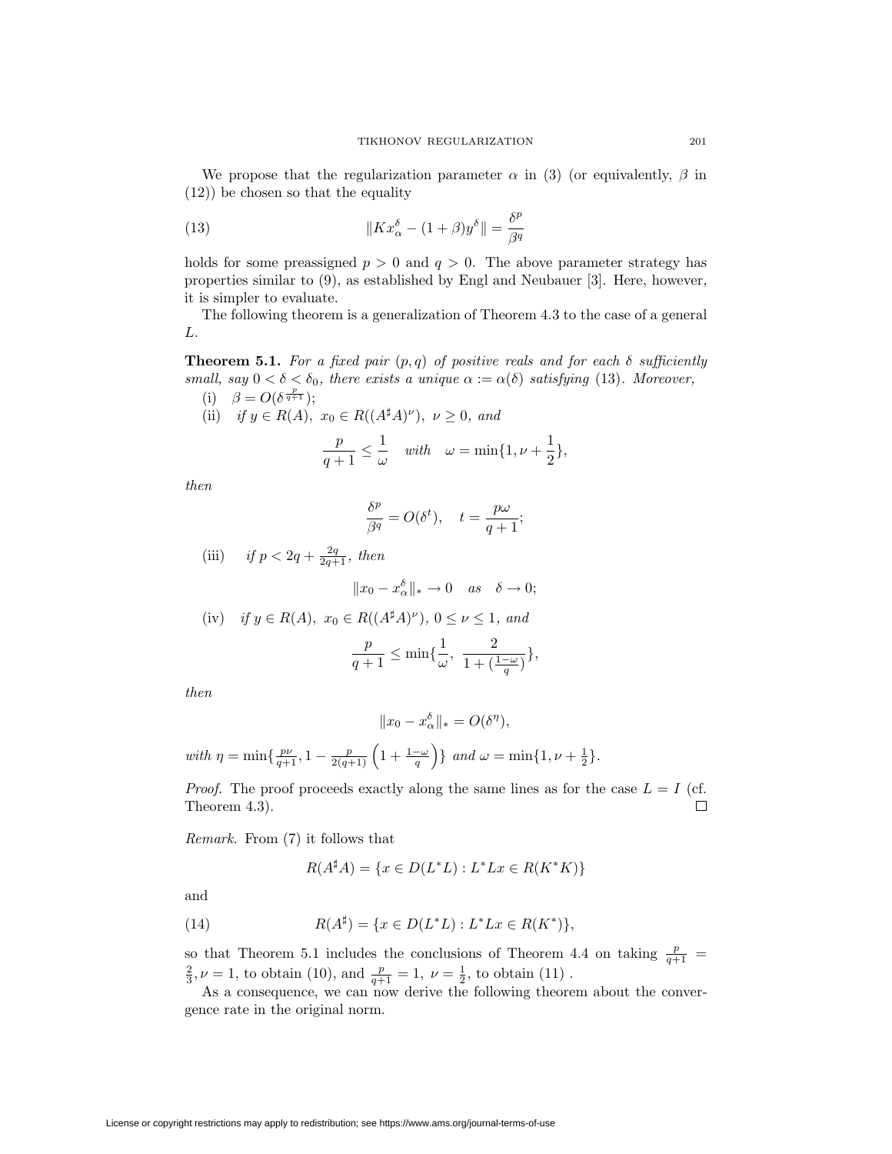We propose that the regularization parameter  $\alpha$  in (3) (or equivalently,  $\beta$  in (12)) be chosen so that the equality

(13) 
$$
\|Kx_{\alpha}^{\delta} - (1+\beta)y^{\delta}\| = \frac{\delta^{p}}{\beta^{q}}
$$

holds for some preassigned  $p > 0$  and  $q > 0$ . The above parameter strategy has properties similar to (9), as established by Engl and Neubauer [3]. Here, however, it is simpler to evaluate.

The following theorem is a generalization of Theorem 4.3 to the case of a general L.

**Theorem 5.1.** For a fixed pair  $(p,q)$  of positive reals and for each  $\delta$  sufficiently small, say  $0 < \delta < \delta_0$ , there exists a unique  $\alpha := \alpha(\delta)$  satisfying (13). Moreover, (i)  $\beta = O(\delta^{\frac{p}{q+1}});$ 

(ii) if 
$$
y \in R(A)
$$
,  $x_0 \in R((A^{\sharp}A)^{\nu})$ ,  $\nu \ge 0$ , and

$$
\frac{p}{q+1} \le \frac{1}{\omega} \quad \text{with} \quad \omega = \min\{1, \nu + \frac{1}{2}\},
$$

then

$$
\frac{\delta^p}{\beta^q} = O(\delta^t), \quad t = \frac{p\omega}{q+1};
$$

(iii) if 
$$
p < 2q + \frac{2q}{2q+1}
$$
, then  
\n
$$
||x_0 - x_\alpha^{\delta}||_* \to 0 \quad as \quad \delta \to 0;
$$
\n(iv) if  $y \in R(A)$ ,  $x_0 \in R((A^{\sharp}A)^{\nu})$ ,  $0 \le \nu \le 1$ , and  
\n
$$
\frac{p}{q+1} \le \min\{\frac{1}{\omega}, \frac{2}{1+(\frac{1-\omega}{q})}\},
$$

then

$$
||x_0 - x_\alpha^{\delta}||_* = O(\delta^{\eta}),
$$

with  $\eta = \min\{\frac{p\nu}{q+1}, 1-\frac{p}{2(q+1)}\left(1+\frac{1-\omega}{q}\right)$  $\Big\}$  and  $\omega = \min\{1, \nu + \frac{1}{2}\}.$ 

*Proof.* The proof proceeds exactly along the same lines as for the case  $L = I$  (cf. Theorem 4.3). 口

Remark. From (7) it follows that

$$
R(A^{\sharp}A) = \{ x \in D(L^*L) : L^*Lx \in R(K^*K) \}
$$

and

(14) 
$$
R(A^{\sharp}) = \{x \in D(L^*L) : L^*Lx \in R(K^*)\},\
$$

so that Theorem 5.1 includes the conclusions of Theorem 4.4 on taking  $\frac{p}{q+1}$  =  $\frac{2}{3}$ ,  $\nu = 1$ , to obtain (10), and  $\frac{p}{q+1} = 1$ ,  $\nu = \frac{1}{2}$ , to obtain (11).

As a consequence, we can now derive the following theorem about the convergence rate in the original norm.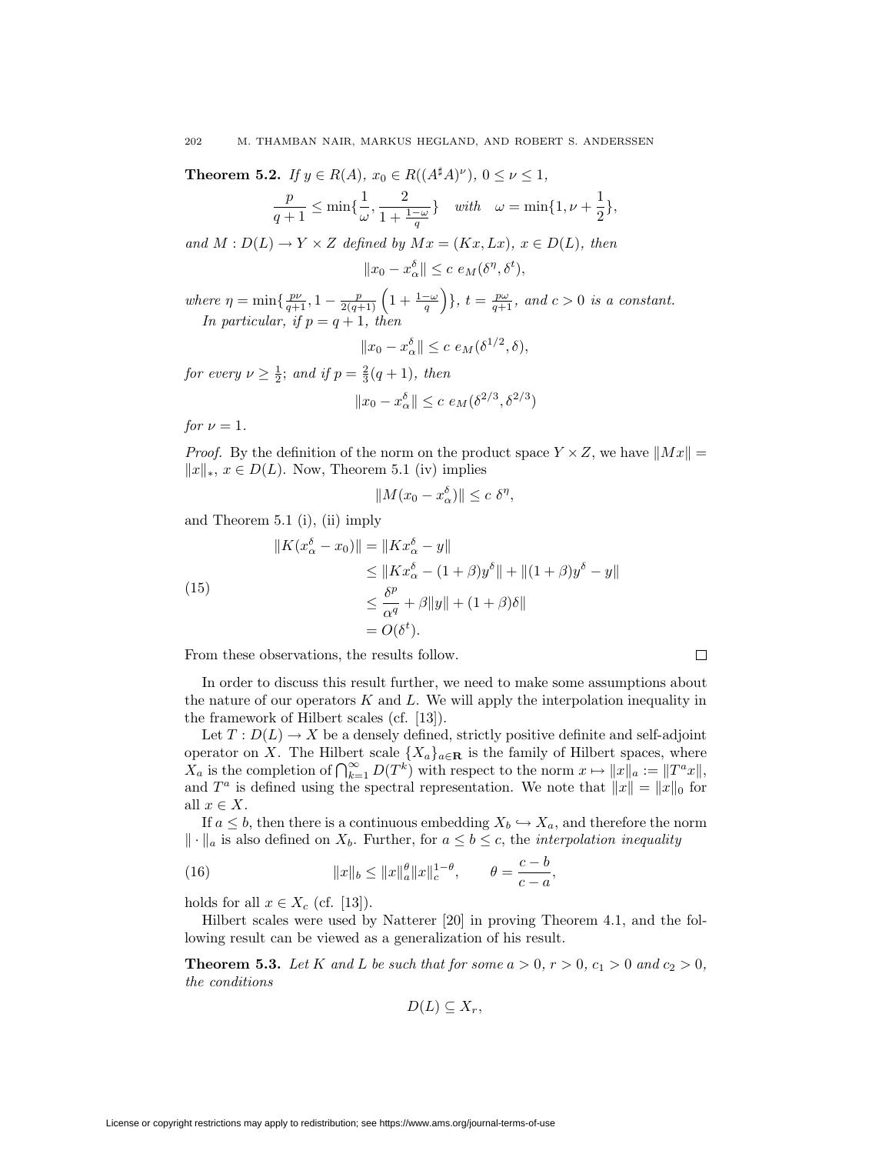**Theorem 5.2.** If  $y \in R(A)$ ,  $x_0 \in R((A^{\sharp}A)^{\nu})$ ,  $0 \leq \nu \leq 1$ ,

$$
\frac{p}{q+1} \le \min\{\frac{1}{\omega}, \frac{2}{1+\frac{1-\omega}{q}}\} \quad with \quad \omega = \min\{1, \nu + \frac{1}{2}\},\
$$

and  $M: D(L) \to Y \times Z$  defined by  $Mx = (Kx, Lx), x \in D(L)$ , then

$$
||x_0 - x_{\alpha}^{\delta}|| \leq c \, e_M(\delta^{\eta}, \delta^t),
$$

where  $\eta = \min\{\frac{p\nu}{q+1}, 1-\frac{p}{2(q+1)}\left(1+\frac{1-\omega}{q}\right)$  $\Big\}, t = \frac{p\omega}{q+1}, \text{ and } c > 0 \text{ is a constant.}$ In particular, if  $p = q + 1$ , then

$$
||x_0 - x_\alpha^{\delta}|| \le c \, e_M(\delta^{1/2}, \delta),
$$

for every  $\nu \geq \frac{1}{2}$ ; and if  $p = \frac{2}{3}(q+1)$ , then

$$
||x_0 - x_\alpha^{\delta}|| \le c \ e_M(\delta^{2/3}, \delta^{2/3})
$$

for  $\nu = 1$ .

*Proof.* By the definition of the norm on the product space  $Y \times Z$ , we have  $||Mx|| =$  $||x||_*$ ,  $x \in D(L)$ . Now, Theorem 5.1 (iv) implies

$$
||M(x_0 - x_{\alpha}^{\delta})|| \leq c \delta^{\eta},
$$

and Theorem 5.1 (i), (ii) imply

(15)  
\n
$$
||K(x_{\alpha}^{\delta} - x_0)|| = ||Kx_{\alpha}^{\delta} - y||
$$
\n
$$
\leq ||Kx_{\alpha}^{\delta} - (1 + \beta)y^{\delta}|| + ||(1 + \beta)y^{\delta} - y||
$$
\n
$$
\leq \frac{\delta^{p}}{\alpha^{q}} + \beta ||y|| + (1 + \beta)\delta||
$$
\n
$$
= O(\delta^{t}).
$$

From these observations, the results follow.

In order to discuss this result further, we need to make some assumptions about the nature of our operators  $K$  and  $L$ . We will apply the interpolation inequality in the framework of Hilbert scales (cf. [13]).

 $\Box$ 

Let  $T: D(L) \to X$  be a densely defined, strictly positive definite and self-adjoint operator on X. The Hilbert scale  $\{X_a\}_{a \in \mathbf{R}}$  is the family of Hilbert spaces, where  $X_a$  is the completion of  $\bigcap_{k=1}^{\infty} D(T^k)$  with respect to the norm  $x \mapsto ||x||_a := ||T^a x||$ , and  $T^a$  is defined using the spectral representation. We note that  $||x|| = ||x||_0$  for all  $x \in X$ .

If  $a \leq b$ , then there is a continuous embedding  $X_b \hookrightarrow X_a$ , and therefore the norm  $\|\cdot\|_a$  is also defined on  $X_b$ . Further, for  $a \leq b \leq c$ , the *interpolation inequality* 

(16) 
$$
||x||_b \le ||x||_a^{\theta} ||x||_c^{1-\theta}, \qquad \theta = \frac{c-b}{c-a},
$$

holds for all  $x \in X_c$  (cf. [13]).

Hilbert scales were used by Natterer [20] in proving Theorem 4.1, and the following result can be viewed as a generalization of his result.

**Theorem 5.3.** Let K and L be such that for some  $a > 0$ ,  $r > 0$ ,  $c_1 > 0$  and  $c_2 > 0$ , the conditions

$$
D(L) \subseteq X_r,
$$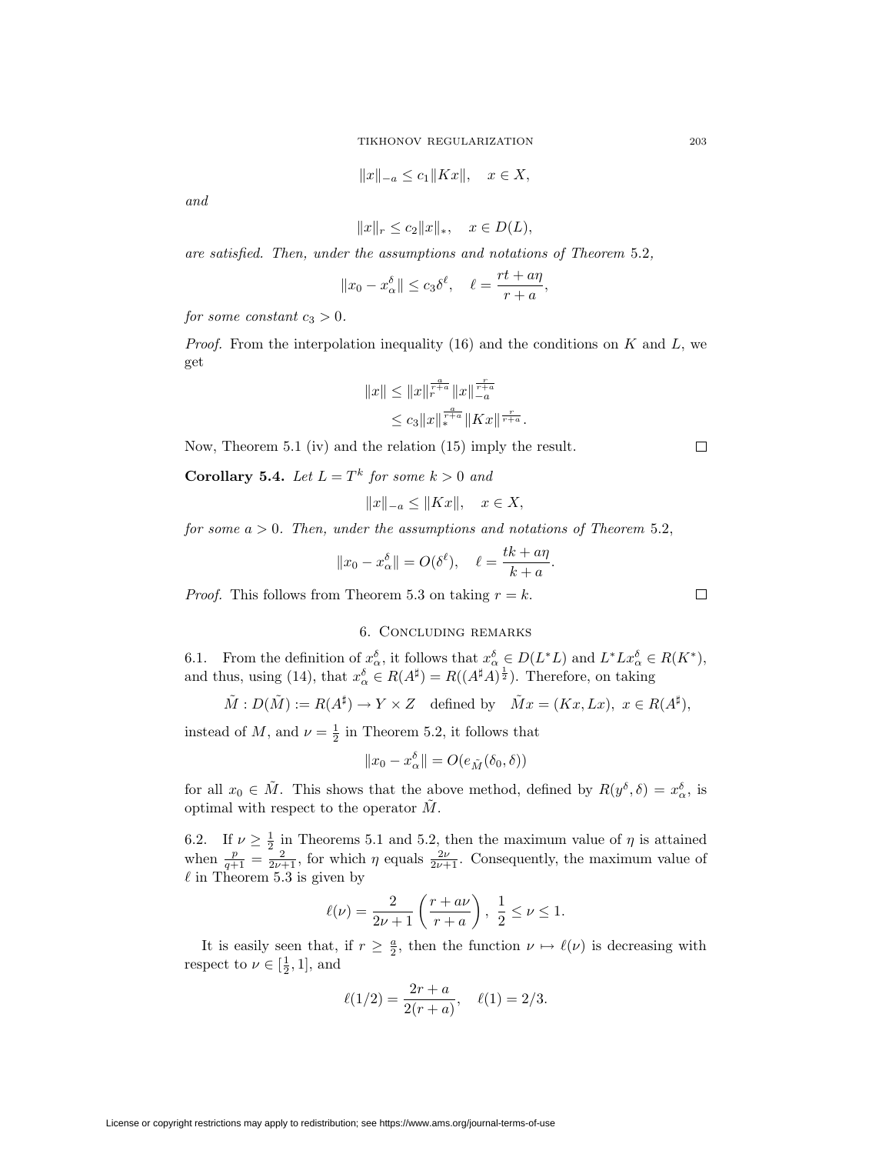$$
||x||_{-a} \le c_1 ||Kx||, \quad x \in X,
$$

and

$$
||x||_r \le c_2 ||x||_*, \quad x \in D(L),
$$

are satisfied. Then, under the assumptions and notations of Theorem 5.2,

$$
||x_0 - x_\alpha^{\delta}|| \leq c_3 \delta^{\ell}, \quad \ell = \frac{rt + a\eta}{r + a},
$$

for some constant  $c_3 > 0$ .

*Proof.* From the interpolation inequality (16) and the conditions on  $K$  and  $L$ , we get

$$
||x|| \le ||x||_{r}^{\frac{a}{r+a}} ||x||_{-a}^{\frac{r}{r+a}}
$$
  

$$
\le c_3 ||x||_{*}^{\frac{a}{r+a}} ||Kx||_{r+a}^{\frac{r}{r+a}}.
$$

Now, Theorem 5.1 (iv) and the relation (15) imply the result.

**Corollary 5.4.** Let  $L = T^k$  for some  $k > 0$  and

$$
||x||_{-a} \le ||Kx||, \quad x \in X,
$$

for some  $a > 0$ . Then, under the assumptions and notations of Theorem 5.2,

$$
||x_0 - x_\alpha^{\delta}|| = O(\delta^{\ell}), \quad \ell = \frac{tk + a\eta}{k + a}.
$$

*Proof.* This follows from Theorem 5.3 on taking  $r = k$ .

# 6. Concluding remarks

6.1. From the definition of  $x_{\alpha}^{\delta}$ , it follows that  $x_{\alpha}^{\delta} \in D(L^*L)$  and  $L^*Lx_{\alpha}^{\delta} \in R(K^*)$ , and thus, using (14), that  $x_{\alpha}^{\delta} \in R(A^{\sharp}) = R((A^{\sharp}A)^{\frac{1}{2}})$ . Therefore, on taking

$$
\tilde{M}: D(\tilde{M}):= R(A^{\sharp}) \to Y \times Z \quad \text{defined by} \quad \tilde{M}x=(Kx,Lx), \ x \in R(A^{\sharp}),
$$

instead of M, and  $\nu = \frac{1}{2}$  in Theorem 5.2, it follows that

$$
||x_0 - x_\alpha^{\delta}|| = O(e_{\tilde{M}}(\delta_0, \delta))
$$

for all  $x_0 \in \tilde{M}$ . This shows that the above method, defined by  $R(y^\delta, \delta) = x_\alpha^\delta$ , is optimal with respect to the operator  $\tilde{M}$ .

6.2. If  $\nu \geq \frac{1}{2}$  in Theorems 5.1 and 5.2, then the maximum value of  $\eta$  is attained when  $\frac{p}{q+1} = \frac{2}{2\nu+1}$ , for which  $\eta$  equals  $\frac{2\nu}{2\nu+1}$ . Consequently, the maximum value of  $\ell$  in Theorem 5.3 is given by

$$
\ell(\nu) = \frac{2}{2\nu + 1} \left( \frac{r + a\nu}{r + a} \right), \frac{1}{2} \leq \nu \leq 1.
$$

It is easily seen that, if  $r \geq \frac{a}{2}$ , then the function  $\nu \mapsto \ell(\nu)$  is decreasing with respect to  $\nu \in [\frac{1}{2}, 1]$ , and

$$
\ell(1/2) = \frac{2r + a}{2(r + a)}, \quad \ell(1) = 2/3.
$$

License or copyright restrictions may apply to redistribution; see https://www.ams.org/journal-terms-of-use

 $\Box$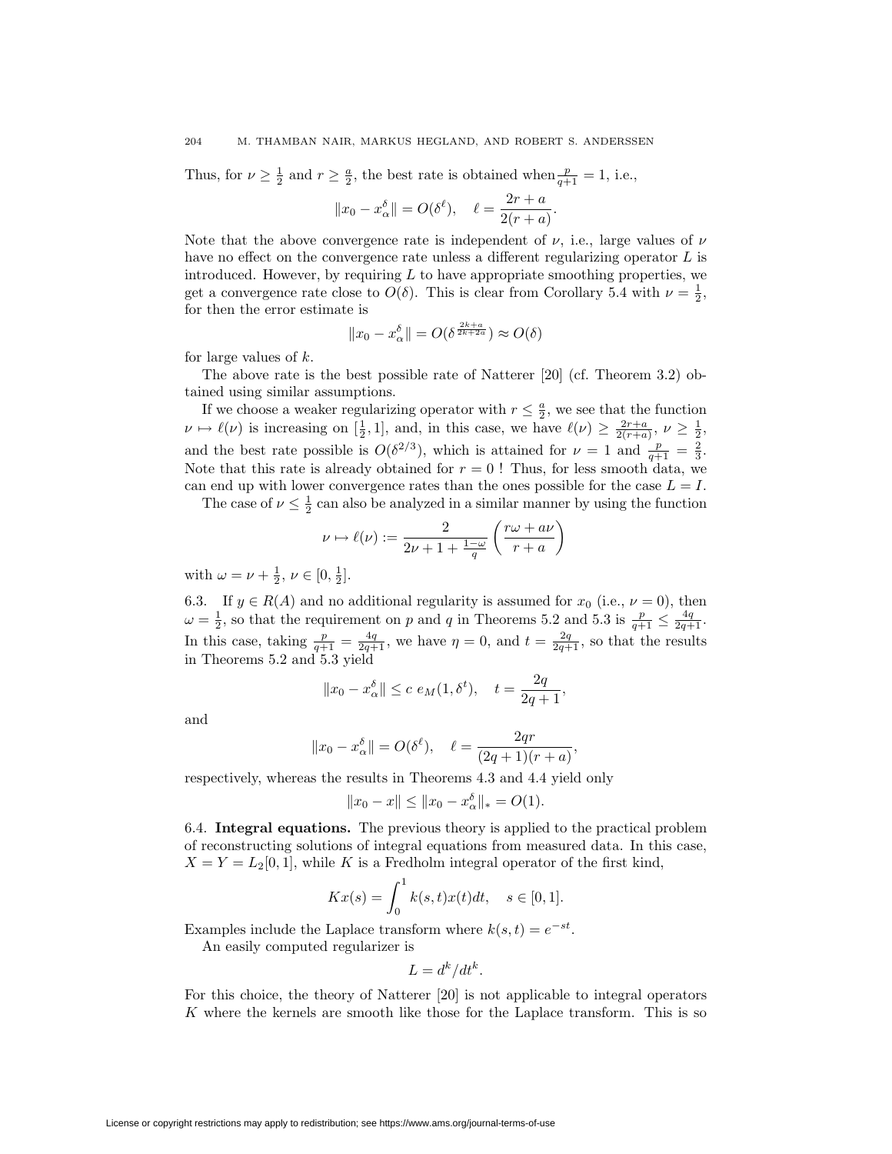Thus, for  $\nu \geq \frac{1}{2}$  and  $r \geq \frac{a}{2}$ , the best rate is obtained when  $\frac{p}{q+1} = 1$ , i.e.,

$$
||x_0 - x_\alpha^{\delta}|| = O(\delta^{\ell}), \quad \ell = \frac{2r + a}{2(r + a)}.
$$

Note that the above convergence rate is independent of  $\nu$ , i.e., large values of  $\nu$ have no effect on the convergence rate unless a different regularizing operator  $L$  is introduced. However, by requiring  $L$  to have appropriate smoothing properties, we get a convergence rate close to  $O(\delta)$ . This is clear from Corollary 5.4 with  $\nu = \frac{1}{2}$ , for then the error estimate is

$$
||x_0 - x_{\alpha}^{\delta}|| = O(\delta^{\frac{2k+a}{2k+2a}}) \approx O(\delta)
$$

for large values of k.

The above rate is the best possible rate of Natterer [20] (cf. Theorem 3.2) obtained using similar assumptions.

If we choose a weaker regularizing operator with  $r \leq \frac{a}{2}$ , we see that the function  $\nu \mapsto \ell(\nu)$  is increasing on  $[\frac{1}{2}, 1]$ , and, in this case, we have  $\ell(\nu) \geq \frac{2r+a}{2(r+a)}, \nu \geq \frac{1}{2}$ , and the best rate possible is  $O(\delta^{2/3})$ , which is attained for  $\nu = 1$  and  $\frac{p}{q+1} = \frac{2}{3}$ . Note that this rate is already obtained for  $r = 0$ ! Thus, for less smooth data, we can end up with lower convergence rates than the ones possible for the case  $L = I$ .

The case of  $\nu \leq \frac{1}{2}$  can also be analyzed in a similar manner by using the function

$$
\nu \mapsto \ell(\nu) := \frac{2}{2\nu + 1 + \frac{1-\omega}{q}} \left( \frac{r\omega + a\nu}{r + a} \right)
$$

with  $\omega = \nu + \frac{1}{2}, \nu \in [0, \frac{1}{2}].$ 

6.3. If  $y \in R(A)$  and no additional regularity is assumed for  $x_0$  (i.e.,  $\nu = 0$ ), then  $\omega = \frac{1}{2}$ , so that the requirement on p and q in Theorems 5.2 and 5.3 is  $\frac{p}{q+1} \le \frac{4q}{2q+1}$ . In this case, taking  $\frac{p}{q+1} = \frac{4q}{2q+1}$ , we have  $\eta = 0$ , and  $t = \frac{2q}{2q+1}$ , so that the results in Theorems 5.2 and 5.3 yield

$$
||x_0 - x_\alpha^{\delta}|| \le c e_M(1, \delta^t), \quad t = \frac{2q}{2q+1},
$$

and

$$
||x_0 - x_\alpha^\delta|| = O(\delta^\ell), \quad \ell = \frac{2qr}{(2q+1)(r+a)},
$$

respectively, whereas the results in Theorems 4.3 and 4.4 yield only

$$
||x_0 - x|| \le ||x_0 - x_\alpha^{\delta}||_* = O(1).
$$

6.4. **Integral equations.** The previous theory is applied to the practical problem of reconstructing solutions of integral equations from measured data. In this case,  $X = Y = L_2[0, 1]$ , while K is a Fredholm integral operator of the first kind,

$$
Kx(s) = \int_0^1 k(s, t)x(t)dt, \quad s \in [0, 1].
$$

Examples include the Laplace transform where  $k(s, t) = e^{-st}$ .

An easily computed regularizer is

$$
L = d^k/dt^k.
$$

For this choice, the theory of Natterer [20] is not applicable to integral operators K where the kernels are smooth like those for the Laplace transform. This is so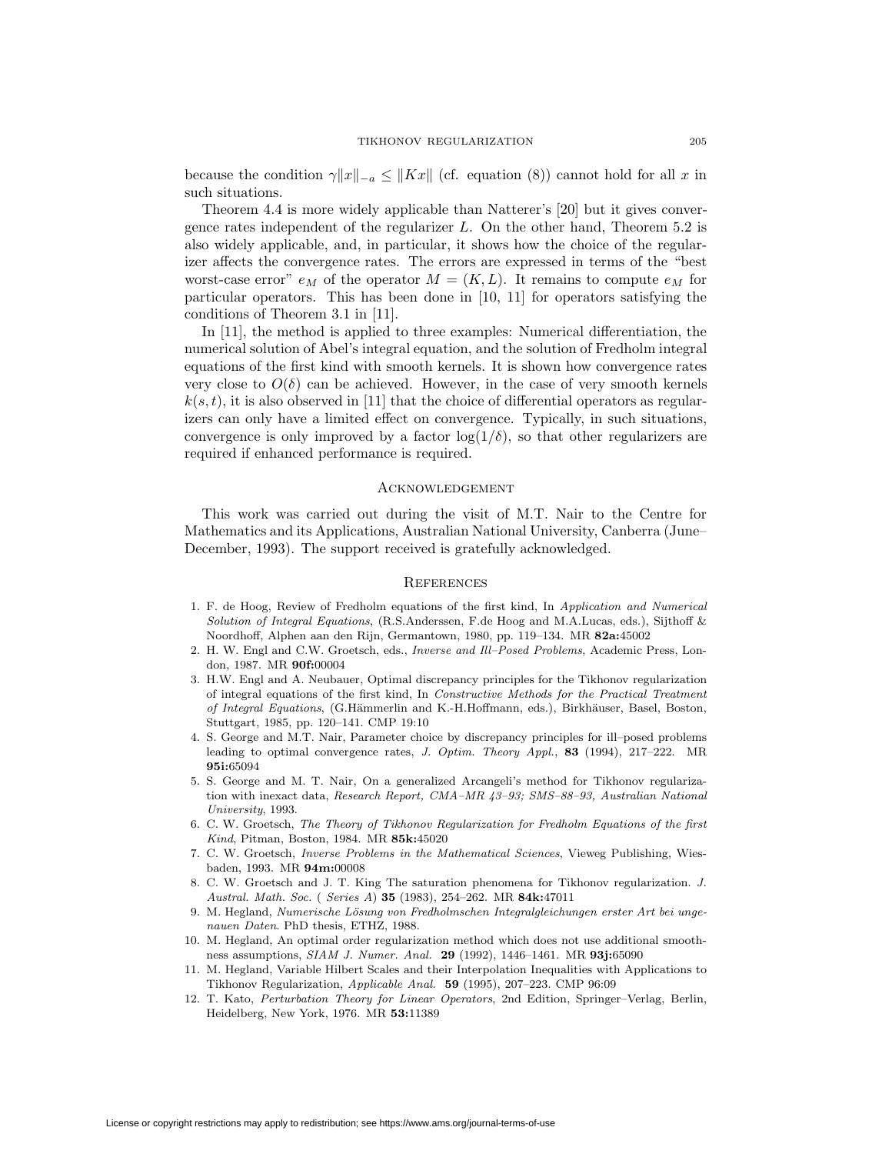because the condition  $\gamma ||x||_{-a} \leq ||Kx||$  (cf. equation (8)) cannot hold for all x in such situations.

Theorem 4.4 is more widely applicable than Natterer's [20] but it gives convergence rates independent of the regularizer L. On the other hand, Theorem 5.2 is also widely applicable, and, in particular, it shows how the choice of the regularizer affects the convergence rates. The errors are expressed in terms of the "best worst-case error"  $e_M$  of the operator  $M = (K, L)$ . It remains to compute  $e_M$  for particular operators. This has been done in [10, 11] for operators satisfying the conditions of Theorem 3.1 in [11].

In [11], the method is applied to three examples: Numerical differentiation, the numerical solution of Abel's integral equation, and the solution of Fredholm integral equations of the first kind with smooth kernels. It is shown how convergence rates very close to  $O(\delta)$  can be achieved. However, in the case of very smooth kernels  $k(s, t)$ , it is also observed in [11] that the choice of differential operators as regularizers can only have a limited effect on convergence. Typically, in such situations, convergence is only improved by a factor  $log(1/\delta)$ , so that other regularizers are required if enhanced performance is required.

## Acknowledgement

This work was carried out during the visit of M.T. Nair to the Centre for Mathematics and its Applications, Australian National University, Canberra (June– December, 1993). The support received is gratefully acknowledged.

#### **REFERENCES**

- 1. F. de Hoog, Review of Fredholm equations of the first kind, In Application and Numerical Solution of Integral Equations, (R.S.Anderssen, F.de Hoog and M.A.Lucas, eds.), Sijthoff & Noordhoff, Alphen aan den Rijn, Germantown, 1980, pp. 119–134. MR **82a:**45002
- 2. H. W. Engl and C.W. Groetsch, eds., Inverse and Ill–Posed Problems, Academic Press, London, 1987. MR **90f:**00004
- 3. H.W. Engl and A. Neubauer, Optimal discrepancy principles for the Tikhonov regularization of integral equations of the first kind, In Constructive Methods for the Practical Treatment of Integral Equations, (G.Hämmerlin and K.-H.Hoffmann, eds.), Birkhäuser, Basel, Boston, Stuttgart, 1985, pp. 120–141. CMP 19:10
- 4. S. George and M.T. Nair, Parameter choice by discrepancy principles for ill–posed problems leading to optimal convergence rates, J. Optim. Theory Appl., **83** (1994), 217–222. MR **95i:**65094
- 5. S. George and M. T. Nair, On a generalized Arcangeli's method for Tikhonov regularization with inexact data, Research Report, CMA–MR 43–93; SMS–88–93, Australian National University, 1993.
- 6. C. W. Groetsch, The Theory of Tikhonov Regularization for Fredholm Equations of the first Kind, Pitman, Boston, 1984. MR **85k:**45020
- 7. C. W. Groetsch, Inverse Problems in the Mathematical Sciences, Vieweg Publishing, Wiesbaden, 1993. MR **94m:**00008
- 8. C. W. Groetsch and J. T. King The saturation phenomena for Tikhonov regularization. J. Austral. Math. Soc. ( Series A) **35** (1983), 254–262. MR **84k:**47011
- 9. M. Hegland, Numerische Lösung von Fredholmschen Integralgleichungen erster Art bei ungenauen Daten. PhD thesis, ETHZ, 1988.
- 10. M. Hegland, An optimal order regularization method which does not use additional smoothness assumptions, SIAM J. Numer. Anal. **29** (1992), 1446–1461. MR **93j:**65090
- 11. M. Hegland, Variable Hilbert Scales and their Interpolation Inequalities with Applications to Tikhonov Regularization, Applicable Anal. **59** (1995), 207–223. CMP 96:09
- 12. T. Kato, Perturbation Theory for Linear Operators, 2nd Edition, Springer–Verlag, Berlin, Heidelberg, New York, 1976. MR **53:**11389